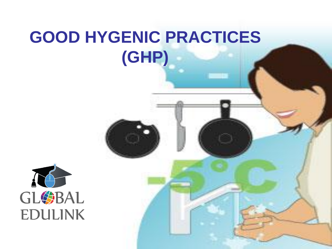### **GOOD HYGENIC PRACTICES (GHP)**

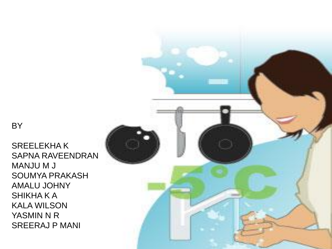BY

SREELEKHA K SAPNA RAVEENDRAN MANJU M J SOUMYA PRAKASH AMALU JOHNY SHIKHA K A KALA WILSON YASMIN N R SREERAJ P MANI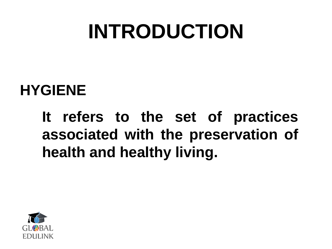# **INTRODUCTION**

#### **HYGIENE**

**It refers to the set of practices associated with the preservation of health and healthy living.**

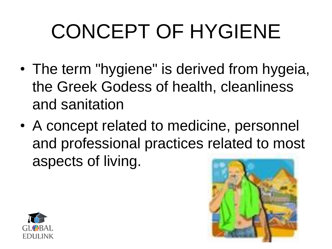# CONCEPT OF HYGIENE

- The term "hygiene" is derived from hygeia, the Greek Godess of health, cleanliness and sanitation
- A concept related to medicine, personnel and professional practices related to most aspects of living.



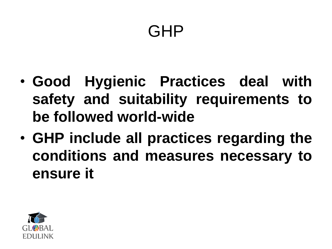#### GHP

- **Good Hygienic Practices deal with safety and suitability requirements to be followed world-wide**
- **GHP include all practices regarding the conditions and measures necessary to ensure it**

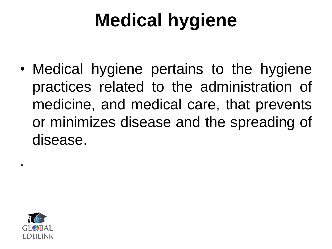## **Medical hygiene**

• Medical hygiene pertains to the hygiene practices related to the administration of medicine, and medical care, that prevents or minimizes disease and the spreading of disease.



.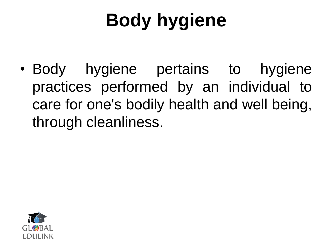# **Body hygiene**

• Body hygiene pertains to hygiene practices performed by an individual to care for one's bodily health and well being, through cleanliness.

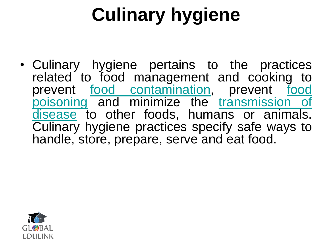# **Culinary hygiene**

• Culinary hygiene pertains to the practices related to fo[od](http://en.wikipedia.org/wiki/Food_contaminants) management and cooking to prevent [food](http://en.wikipedia.org/wiki/Food_poisoning) [contamination,](http://en.wikipedia.org/wiki/Food_contaminants) prevent food [poisoning](http://en.wikipedia.org/wiki/Food_poisoning) and minimize the [transmission](http://en.wikipedia.org/wiki/Disease_transmission) [of](http://en.wikipedia.org/wiki/Disease_transmission) [disease](http://en.wikipedia.org/wiki/Disease_transmission) to other foods, humans or animals. Culinary hygiene practices specify safe ways to handle, store, prepare, serve and eat food.

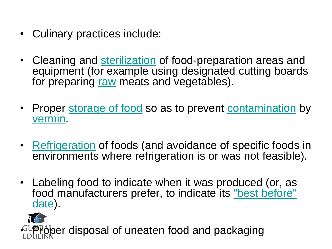- Culinary practices include:
- Cleaning and [sterilization](http://en.wikipedia.org/wiki/Sterilization_%28microbiology%29) of food-preparation areas and equipment (for example using designated cutting boards for preparing [raw](http://en.wikipedia.org/wiki/Raw_food_diet) meats and vegetables).
- Proper [storage of food](http://en.wikipedia.org/wiki/Food_storage) so as to prevent [contamination](http://en.wikipedia.org/wiki/Food_poisoning) by [vermin](http://en.wikipedia.org/wiki/Vermin).
- [Refrigeration](http://en.wikipedia.org/wiki/Refrigeration) of foods (and avoidance of specific foods in environments where refrigeration is or was not feasible).
- Labeling food to indicate when it was produced (or, as food manufacturers prefer, to indicate its ["best before"](http://en.wikipedia.org/wiki/Shelf_life)  [date\)](http://en.wikipedia.org/wiki/Shelf_life).

per disposal of uneaten food and packaging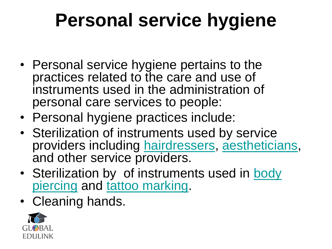## **Personal service hygiene**

- Personal service hygiene pertains to the practices related to the care and use of instruments used in the administration of personal care services to people:
- Personal hygiene practices include:
- Sterilization of instruments used by service providers including [hairdressers,](http://en.wikipedia.org/wiki/Hairdresser) [aestheticians,](http://en.wikipedia.org/wiki/Aesthetician) and other service providers.
- Sterilization by of instruments used in body [piercing](http://en.wikipedia.org/wiki/Body_piercing) and [tattoo marking.](http://en.wikipedia.org/wiki/Tattoo)
- Cleaning hands.

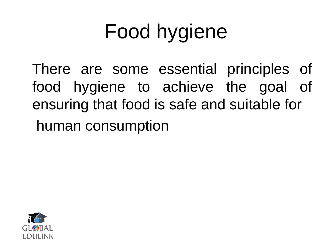# Food hygiene

 There are some essential principles of food hygiene to achieve the goal of ensuring that food is safe and suitable for human consumption

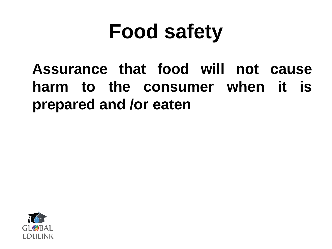# **Food safety**

 **Assurance that food will not cause harm to the consumer when it is prepared and /or eaten**

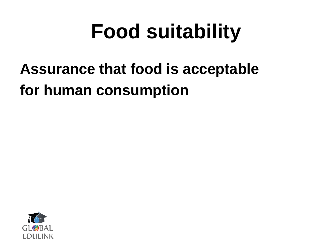# **Food suitability**

#### **Assurance that food is acceptable for human consumption**

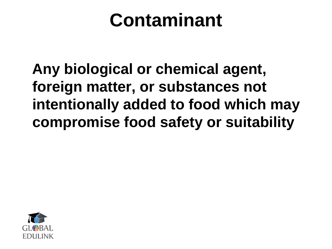### **Contaminant**

 **Any biological or chemical agent, foreign matter, or substances not intentionally added to food which may compromise food safety or suitability**

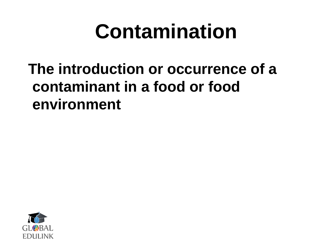# **Contamination**

#### **The introduction or occurrence of a contaminant in a food or food environment**

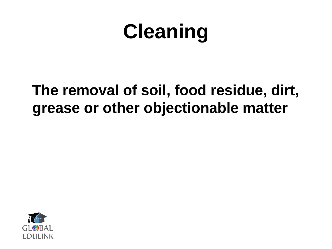# **Cleaning**

#### **The removal of soil, food residue, dirt, grease or other objectionable matter**

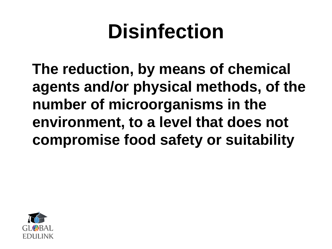# **Disinfection**

 **The reduction, by means of chemical agents and/or physical methods, of the number of microorganisms in the environment, to a level that does not compromise food safety or suitability**

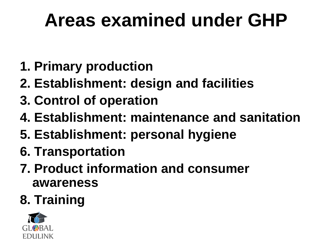### **Areas examined under GHP**

- **1. Primary production**
- **2. Establishment: design and facilities**
- **3. Control of operation**
- **4. Establishment: maintenance and sanitation**
- **5. Establishment: personal hygiene**
- **6. Transportation**
- **7. Product information and consumer awareness**
- **8. Training**

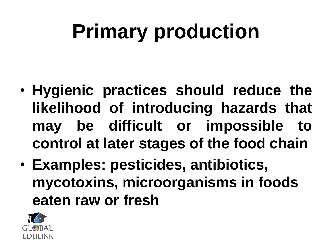# **Primary production**

- **Hygienic practices should reduce the likelihood of introducing hazards that may be difficult or impossible to control at later stages of the food chain**
- **Examples: pesticides, antibiotics, mycotoxins, microorganisms in foods eaten raw or fresh**

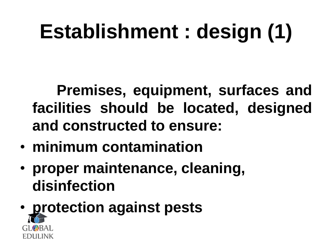# **Establishment : design (1)**

 **Premises, equipment, surfaces and facilities should be located, designed and constructed to ensure:**

- **minimum contamination**
- **proper maintenance, cleaning, disinfection**
- **protection against pests**EDHLINK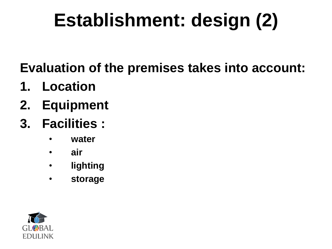# **Establishment: design (2)**

**Evaluation of the premises takes into account:**

- **1. Location**
- **2. Equipment**
- **3. Facilities :** 
	- **water**
	- **air**
	- **lighting**
	- **storage**

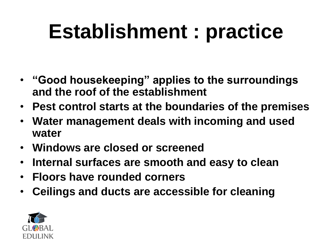# **Establishment : practice**

- **"Good housekeeping" applies to the surroundings and the roof of the establishment**
- **Pest control starts at the boundaries of the premises**
- **Water management deals with incoming and used water**
- **Windows are closed or screened**
- **Internal surfaces are smooth and easy to clean**
- **Floors have rounded corners**
- **Ceilings and ducts are accessible for cleaning**

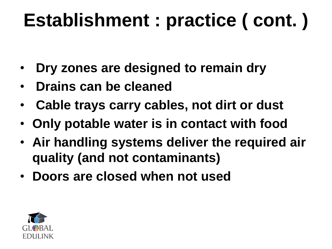# **Establishment : practice ( cont. )**

- **Dry zones are designed to remain dry**
- **Drains can be cleaned**
- **Cable trays carry cables, not dirt or dust**
- **Only potable water is in contact with food**
- **Air handling systems deliver the required air quality (and not contaminants)**
- **Doors are closed when not used**

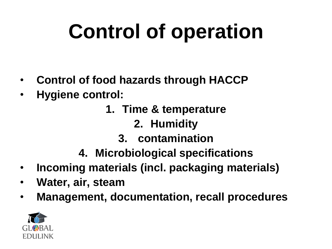# **Control of operation**

- **Control of food hazards through HACCP**
- **Hygiene control:** 
	- **1. Time & temperature** 
		- **2. Humidity**
		- **3. contamination**
	- **4. Microbiological specifications**
- **Incoming materials (incl. packaging materials)**
- **Water, air, steam**
- **Management, documentation, recall procedures**

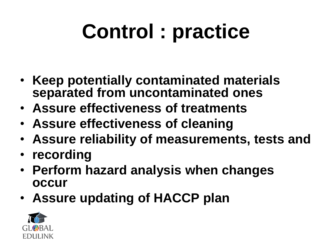# **Control : practice**

- **Keep potentially contaminated materials separated from uncontaminated ones**
- **Assure effectiveness of treatments**
- **Assure effectiveness of cleaning**
- **Assure reliability of measurements, tests and**
- **recording**
- **Perform hazard analysis when changes occur**
- **Assure updating of HACCP plan**

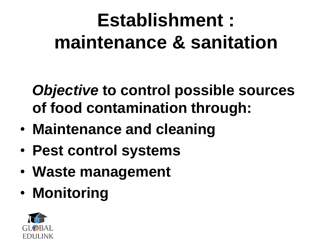## **Establishment : maintenance & sanitation**

 *Objective* **to control possible sources of food contamination through:**

- **Maintenance and cleaning**
- **Pest control systems**
- **Waste management**
- **Monitoring**

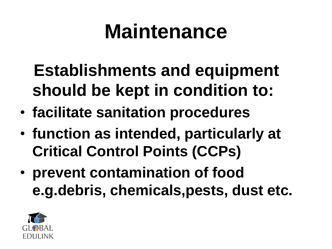# **Maintenance**

- **Establishments and equipment should be kept in condition to:**
- **facilitate sanitation procedures**
- **function as intended, particularly at Critical Control Points (CCPs)**
- **prevent contamination of food e.g.debris, chemicals,pests, dust etc.**

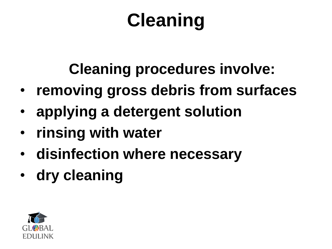# **Cleaning**

#### **Cleaning procedures involve:**

- **removing gross debris from surfaces**
- **applying a detergent solution**
- **rinsing with water**
- **disinfection where necessary**
- **dry cleaning**

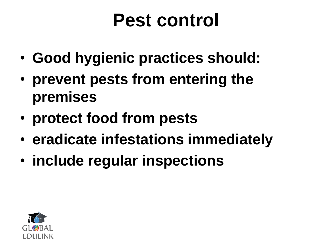### **Pest control**

- **Good hygienic practices should:**
- **prevent pests from entering the premises**
- **protect food from pests**
- **eradicate infestations immediately**
- **include regular inspections**

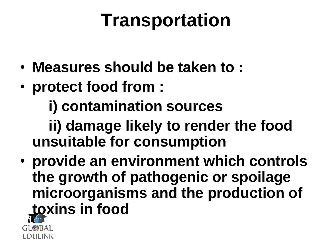### **Transportation**

- **Measures should be taken to :**
- **protect food from :**
	- **i) contamination sources**

 **ii) damage likely to render the food unsuitable for consumption**

• **provide an environment which controls the growth of pathogenic or spoilage microorganisms and the production of toxins in food**

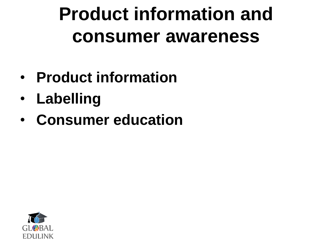**Product information and consumer awareness**

- **Product information**
- **Labelling**
- **Consumer education**

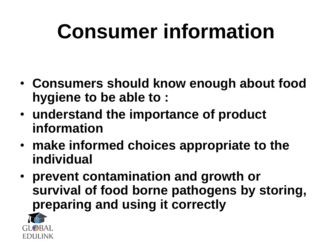# **Consumer information**

- **Consumers should know enough about food hygiene to be able to :**
- **understand the importance of product information**
- **make informed choices appropriate to the individual**
- **prevent contamination and growth or survival of food borne pathogens by storing, preparing and using it correctly**

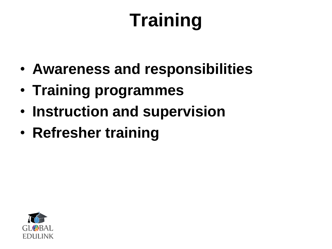# **Training**

- **Awareness and responsibilities**
- **Training programmes**
- **Instruction and supervision**
- **Refresher training**